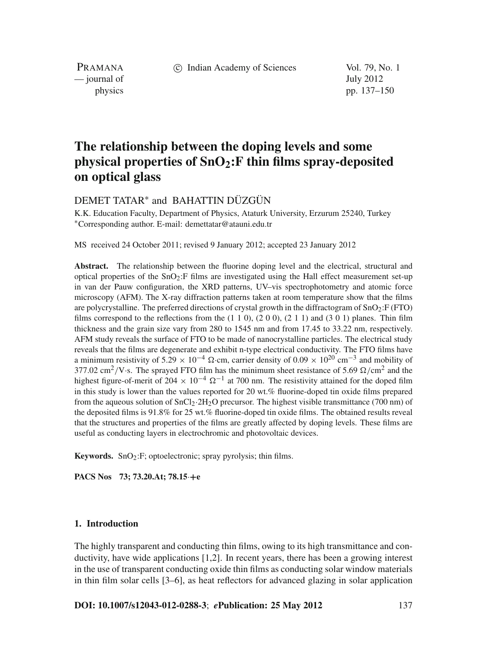c Indian Academy of Sciences Vol. 79, No. 1

PRAMANA — journal of July 2012

physics pp. 137–150

# **The relationship between the doping levels and some physical properties of SnO2:F thin films spray-deposited on optical glass**

# DEMET TATAR<sup>∗</sup> and BAHATTIN DÜZGÜN

K.K. Education Faculty, Department of Physics, Ataturk University, Erzurum 25240, Turkey <sup>∗</sup>Corresponding author. E-mail: demettatar@atauni.edu.tr

MS received 24 October 2011; revised 9 January 2012; accepted 23 January 2012

**Abstract.** The relationship between the fluorine doping level and the electrical, structural and optical properties of the  $SnO<sub>2</sub>:$  F films are investigated using the Hall effect measurement set-up in van der Pauw configuration, the XRD patterns, UV–vis spectrophotometry and atomic force microscopy (AFM). The X-ray diffraction patterns taken at room temperature show that the films are polycrystalline. The preferred directions of crystal growth in the diffractogram of SnO2:F (FTO) films correspond to the reflections from the  $(1 1 0)$ ,  $(2 0 0)$ ,  $(2 1 1)$  and  $(3 0 1)$  planes. Thin film thickness and the grain size vary from 280 to 1545 nm and from 17.45 to 33.22 nm, respectively. AFM study reveals the surface of FTO to be made of nanocrystalline particles. The electrical study reveals that the films are degenerate and exhibit n-type electrical conductivity. The FTO films have a minimum resistivity of 5.29  $\times$  10<sup>-4</sup>  $\Omega$ ·cm, carrier density of 0.09  $\times$  10<sup>20</sup> cm<sup>-3</sup> and mobility of 377.02 cm<sup>2</sup>/V·s. The sprayed FTO film has the minimum sheet resistance of 5.69  $\Omega$ /cm<sup>2</sup> and the highest figure-of-merit of 204  $\times$  10<sup>-4</sup>  $\Omega$ <sup>-1</sup> at 700 nm. The resistivity attained for the doped film in this study is lower than the values reported for 20 wt.% fluorine-doped tin oxide films prepared from the aqueous solution of  $SnCl_2·2H_2O$  precursor. The highest visible transmittance (700 nm) of the deposited films is 91.8% for 25 wt.% fluorine-doped tin oxide films. The obtained results reveal that the structures and properties of the films are greatly affected by doping levels. These films are useful as conducting layers in electrochromic and photovoltaic devices.

**Keywords.** SnO<sub>2</sub>:F; optoelectronic; spray pyrolysis; thin films.

**PACS Nos 73; 73.20.At; 78.15**·**+e**

## **1. Introduction**

The highly transparent and conducting thin films, owing to its high transmittance and conductivity, have wide applications [1,2]. In recent years, there has been a growing interest in the use of transparent conducting oxide thin films as conducting solar window materials in thin film solar cells [3–6], as heat reflectors for advanced glazing in solar application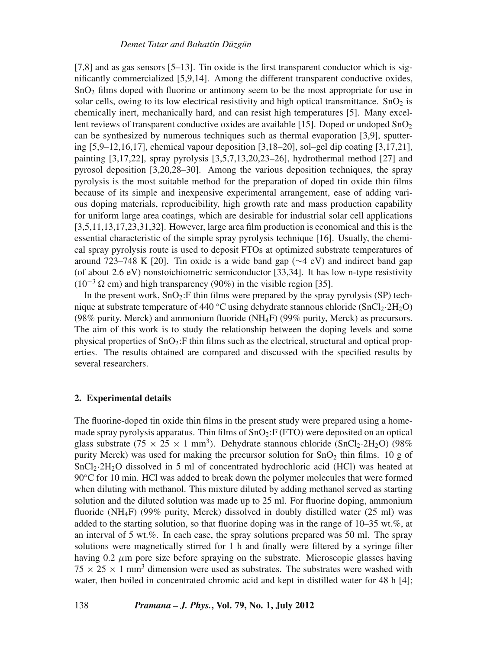[7,8] and as gas sensors [5–13]. Tin oxide is the first transparent conductor which is significantly commercialized [5,9,14]. Among the different transparent conductive oxides,  $SnO<sub>2</sub>$  films doped with fluorine or antimony seem to be the most appropriate for use in solar cells, owing to its low electrical resistivity and high optical transmittance.  $SnO<sub>2</sub>$  is chemically inert, mechanically hard, and can resist high temperatures [5]. Many excellent reviews of transparent conductive oxides are available [15]. Doped or undoped  $SnO<sub>2</sub>$ can be synthesized by numerous techniques such as thermal evaporation [3,9], sputtering [5,9–12,16,17], chemical vapour deposition [3,18–20], sol–gel dip coating [3,17,21], painting [3,17,22], spray pyrolysis [3,5,7,13,20,23–26], hydrothermal method [27] and pyrosol deposition [3,20,28–30]. Among the various deposition techniques, the spray pyrolysis is the most suitable method for the preparation of doped tin oxide thin films because of its simple and inexpensive experimental arrangement, ease of adding various doping materials, reproducibility, high growth rate and mass production capability for uniform large area coatings, which are desirable for industrial solar cell applications [3,5,11,13,17,23,31,32]. However, large area film production is economical and this is the essential characteristic of the simple spray pyrolysis technique [16]. Usually, the chemical spray pyrolysis route is used to deposit FTOs at optimized substrate temperatures of around 723–748 K [20]. Tin oxide is a wide band gap ( $\sim$ 4 eV) and indirect band gap (of about 2.6 eV) nonstoichiometric semiconductor [33,34]. It has low n-type resistivity  $(10^{-3} \Omega \text{ cm})$  and high transparency (90%) in the visible region [35].

In the present work,  $SnO<sub>2</sub>:F$  thin films were prepared by the spray pyrolysis (SP) technique at substrate temperature of 440 °C using dehydrate stannous chloride  $(SnCl_2.2H_2O)$ (98% purity, Merck) and ammonium fluoride (NH<sub>4</sub>F) (99% purity, Merck) as precursors. The aim of this work is to study the relationship between the doping levels and some physical properties of  $SnO<sub>2</sub>:F$  thin films such as the electrical, structural and optical properties. The results obtained are compared and discussed with the specified results by several researchers.

# **2. Experimental details**

The fluorine-doped tin oxide thin films in the present study were prepared using a homemade spray pyrolysis apparatus. Thin films of  $SnO<sub>2</sub>:F (FTO)$  were deposited on an optical glass substrate (75  $\times$  25  $\times$  1 mm<sup>3</sup>). Dehydrate stannous chloride (SnCl<sub>2</sub>·2H<sub>2</sub>O) (98%) purity Merck) was used for making the precursor solution for  $SnO<sub>2</sub>$  thin films. 10 g of SnCl2·2H2O dissolved in 5 ml of concentrated hydrochloric acid (HCl) was heated at 90◦C for 10 min. HCl was added to break down the polymer molecules that were formed when diluting with methanol. This mixture diluted by adding methanol served as starting solution and the diluted solution was made up to 25 ml. For fluorine doping, ammonium fluoride (NH<sub>4</sub>F) (99% purity, Merck) dissolved in doubly distilled water  $(25 \text{ ml})$  was added to the starting solution, so that fluorine doping was in the range of 10–35 wt.%, at an interval of 5 wt.%. In each case, the spray solutions prepared was 50 ml. The spray solutions were magnetically stirred for 1 h and finally were filtered by a syringe filter having 0.2  $\mu$ m pore size before spraying on the substrate. Microscopic glasses having  $75 \times 25 \times 1$  mm<sup>3</sup> dimension were used as substrates. The substrates were washed with water, then boiled in concentrated chromic acid and kept in distilled water for 48 h [4];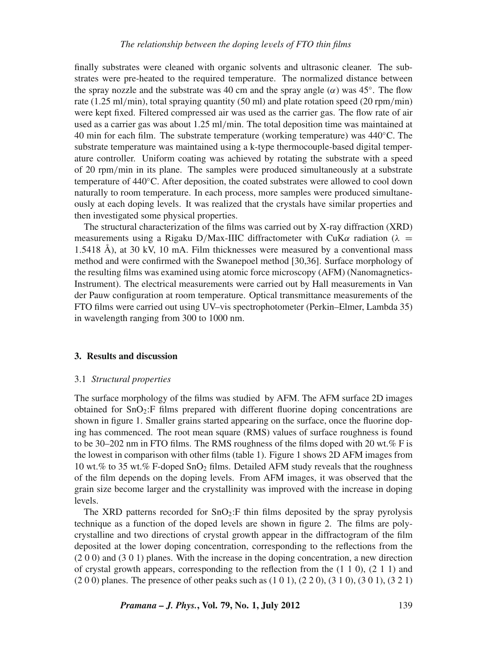# *The relationship between the doping le*v*els of FTO thin films*

finally substrates were cleaned with organic solvents and ultrasonic cleaner. The substrates were pre-heated to the required temperature. The normalized distance between the spray nozzle and the substrate was 40 cm and the spray angle  $(\alpha)$  was 45°. The flow rate (1.25 ml/min), total spraying quantity (50 ml) and plate rotation speed (20 rpm/min) were kept fixed. Filtered compressed air was used as the carrier gas. The flow rate of air used as a carrier gas was about 1.25 ml/min. The total deposition time was maintained at 40 min for each film. The substrate temperature (working temperature) was  $440^{\circ}$ C. The substrate temperature was maintained using a k-type thermocouple-based digital temperature controller. Uniform coating was achieved by rotating the substrate with a speed of 20 rpm/min in its plane. The samples were produced simultaneously at a substrate temperature of 440◦C. After deposition, the coated substrates were allowed to cool down naturally to room temperature. In each process, more samples were produced simultaneously at each doping levels. It was realized that the crystals have similar properties and then investigated some physical properties.

The structural characterization of the films was carried out by X-ray diffraction (XRD) measurements using a Rigaku D/Max-IIIC diffractometer with CuK $\alpha$  radiation ( $\lambda$  = 1.5418 Å), at 30 kV, 10 mA. Film thicknesses were measured by a conventional mass method and were confirmed with the Swanepoel method [30,36]. Surface morphology of the resulting films was examined using atomic force microscopy (AFM) (Nanomagnetics-Instrument). The electrical measurements were carried out by Hall measurements in Van der Pauw configuration at room temperature. Optical transmittance measurements of the FTO films were carried out using UV–vis spectrophotometer (Perkin–Elmer, Lambda 35) in wavelength ranging from 300 to 1000 nm.

#### **3. Results and discussion**

#### 3.1 *Structural properties*

The surface morphology of the films was studied by AFM. The AFM surface 2D images obtained for  $SnO<sub>2</sub>:F$  films prepared with different fluorine doping concentrations are shown in figure 1. Smaller grains started appearing on the surface, once the fluorine doping has commenced. The root mean square (RMS) values of surface roughness is found to be 30–202 nm in FTO films. The RMS roughness of the films doped with 20 wt.% F is the lowest in comparison with other films (table 1). Figure 1 shows 2D AFM images from 10 wt.% to 35 wt.% F-doped SnO2 films. Detailed AFM study reveals that the roughness of the film depends on the doping levels. From AFM images, it was observed that the grain size become larger and the crystallinity was improved with the increase in doping levels.

The XRD patterns recorded for  $SnO<sub>2</sub>:F$  thin films deposited by the spray pyrolysis technique as a function of the doped levels are shown in figure 2. The films are polycrystalline and two directions of crystal growth appear in the diffractogram of the film deposited at the lower doping concentration, corresponding to the reflections from the (2 0 0) and (3 0 1) planes. With the increase in the doping concentration, a new direction of crystal growth appears, corresponding to the reflection from the  $(1\ 1\ 0)$ ,  $(2\ 1\ 1)$  and (2 0 0) planes. The presence of other peaks such as (1 0 1), (2 2 0), (3 1 0), (3 0 1), (3 2 1)

*Pramana – J. Phys.***, Vol. 79, No. 1, July 2012** 139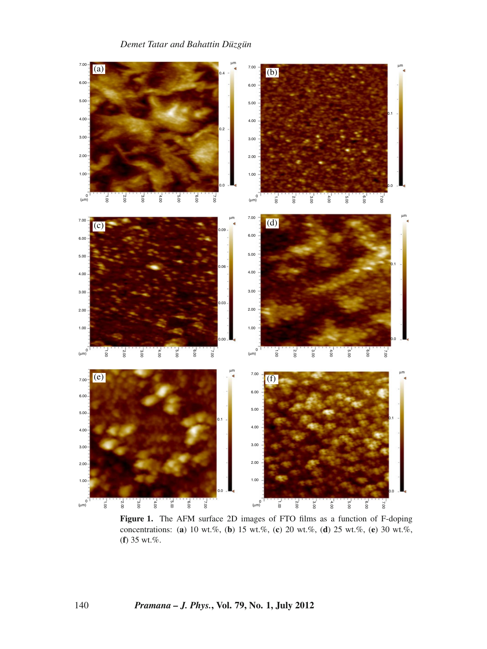

**Figure 1.** The AFM surface 2D images of FTO films as a function of F-doping concentrations: (**a**) 10 wt.%, (**b**) 15 wt.%, (**c**) 20 wt.%, (**d**) 25 wt.%, (**e**) 30 wt.%, (**f**) 35 wt.%.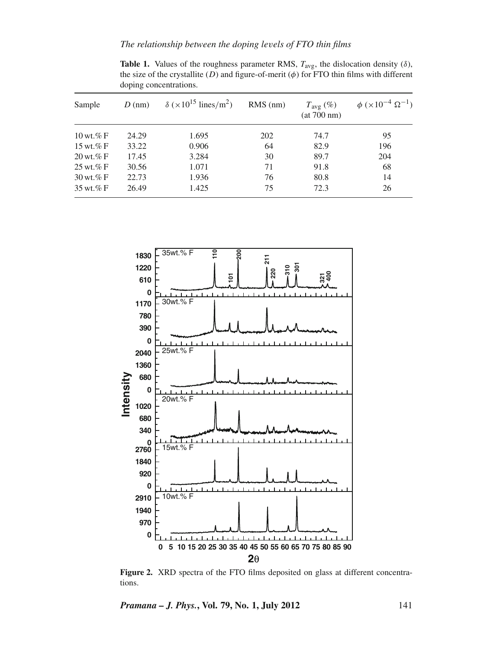*The relationship between the doping le*v*els of FTO thin films*

| Sample                       | $D$ (nm) | $\delta$ (×10 <sup>15</sup> lines/m <sup>2</sup> ) | $RMS$ (nm) | $T_{\text{avg}}(\%)$<br>(at 700 nm) | $\phi$ (×10 <sup>-4</sup> $\Omega^{-1}$ ) |
|------------------------------|----------|----------------------------------------------------|------------|-------------------------------------|-------------------------------------------|
| $10 \text{ wt.} \% F$        | 24.29    | 1.695                                              | 202        | 74.7                                | 95                                        |
| 15 wt.% $\mathcal{F}$        | 33.22    | 0.906                                              | 64         | 82.9                                | 196                                       |
| $20 \,\text{wt}\%$ F         | 17.45    | 3.284                                              | 30         | 89.7                                | 204                                       |
| $25 \text{ wt.} \% F$        | 30.56    | 1.071                                              | 71         | 91.8                                | 68                                        |
| $30 \,\text{wt}.\% \text{F}$ | 22.73    | 1.936                                              | 76         | 80.8                                | 14                                        |
| $35 \text{ wt.} %$           | 26.49    | 1.425                                              | 75         | 72.3                                | 26                                        |

**Table 1.** Values of the roughness parameter RMS,  $T_{avg}$ , the dislocation density ( $\delta$ ), the size of the crystallite  $(D)$  and figure-of-merit  $(\phi)$  for FTO thin films with different doping concentrations.



**Figure 2.** XRD spectra of the FTO films deposited on glass at different concentrations.

*Pramana – J. Phys.***, Vol. 79, No. 1, July 2012** 141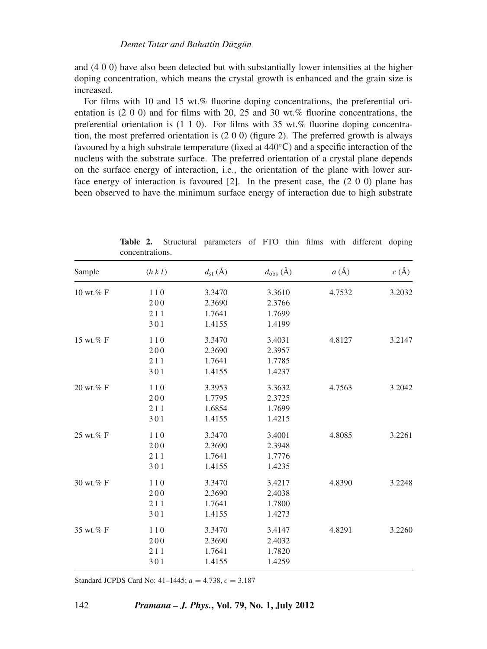and (4 0 0) have also been detected but with substantially lower intensities at the higher doping concentration, which means the crystal growth is enhanced and the grain size is increased.

For films with 10 and 15 wt.% fluorine doping concentrations, the preferential orientation is (2 0 0) and for films with 20, 25 and 30 wt.% fluorine concentrations, the preferential orientation is (1 1 0). For films with 35 wt.% fluorine doping concentration, the most preferred orientation is  $(2 0 0)$  (figure 2). The preferred growth is always favoured by a high substrate temperature (fixed at 440°C) and a specific interaction of the nucleus with the substrate surface. The preferred orientation of a crystal plane depends on the surface energy of interaction, i.e., the orientation of the plane with lower surface energy of interaction is favoured [2]. In the present case, the (2 0 0) plane has been observed to have the minimum surface energy of interaction due to high substrate

| $c(\AA)$ | $a(\AA)$ | $d_{\text{obs}}(\text{\AA})$ | $d_{\rm st}$ (Å) | (h k l) | Sample    |
|----------|----------|------------------------------|------------------|---------|-----------|
| 3.2032   | 4.7532   | 3.3610                       | 3.3470           | 110     | 10 wt.% F |
|          |          | 2.3766                       | 2.3690           | 200     |           |
|          |          | 1.7699                       | 1.7641           | 211     |           |
|          |          | 1.4199                       | 1.4155           | 301     |           |
| 3.2147   | 4.8127   | 3.4031                       | 3.3470           | 110     | 15 wt.% F |
|          |          | 2.3957                       | 2.3690           | 200     |           |
|          |          | 1.7785                       | 1.7641           | 211     |           |
|          |          | 1.4237                       | 1.4155           | 301     |           |
| 3.2042   | 4.7563   | 3.3632                       | 3.3953           | 110     | 20 wt.% F |
|          |          | 2.3725                       | 1.7795           | 200     |           |
|          |          | 1.7699                       | 1.6854           | 211     |           |
|          |          | 1.4215                       | 1.4155           | 301     |           |
| 3.2261   | 4.8085   | 3.4001                       | 3.3470           | 110     | 25 wt.% F |
|          |          | 2.3948                       | 2.3690           | 200     |           |
|          |          | 1.7776                       | 1.7641           | 211     |           |
|          |          | 1.4235                       | 1.4155           | 301     |           |
| 3.2248   | 4.8390   | 3.4217                       | 3.3470           | 110     | 30 wt.% F |
|          |          | 2.4038                       | 2.3690           | 200     |           |
|          |          | 1.7800                       | 1.7641           | 211     |           |
|          |          | 1.4273                       | 1.4155           | 301     |           |
| 3.2260   | 4.8291   | 3.4147                       | 3.3470           | 110     | 35 wt.% F |
|          |          | 2.4032                       | 2.3690           | 200     |           |
|          |          | 1.7820                       | 1.7641           | 211     |           |
|          |          | 1.4259                       | 1.4155           | 301     |           |

**Table 2.** Structural parameters of FTO thin films with different doping concentrations.

Standard JCPDS Card No: 41–1445; *a* = 4.738, *c* = 3.187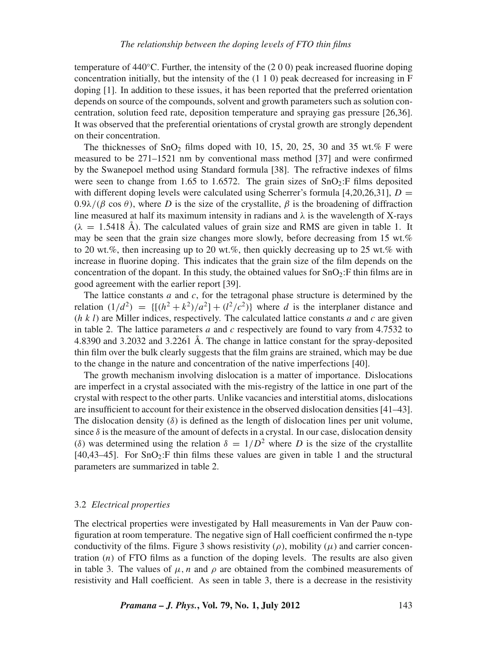temperature of  $440^{\circ}$ C. Further, the intensity of the (2 0 0) peak increased fluorine doping concentration initially, but the intensity of the  $(1\ 1\ 0)$  peak decreased for increasing in F doping [1]. In addition to these issues, it has been reported that the preferred orientation depends on source of the compounds, solvent and growth parameters such as solution concentration, solution feed rate, deposition temperature and spraying gas pressure [26,36]. It was observed that the preferential orientations of crystal growth are strongly dependent on their concentration.

The thicknesses of SnO<sub>2</sub> films doped with 10, 15, 20, 25, 30 and 35 wt.% F were measured to be 271–1521 nm by conventional mass method [37] and were confirmed by the Swanepoel method using Standard formula [38]. The refractive indexes of films were seen to change from 1.65 to 1.6572. The grain sizes of  $SnO<sub>2</sub>:F$  films deposited with different doping levels were calculated using Scherrer's formula [4,20,26,31],  $D =$  $0.9\lambda/(\beta \cos \theta)$ , where *D* is the size of the crystallite,  $\beta$  is the broadening of diffraction line measured at half its maximum intensity in radians and  $\lambda$  is the wavelength of X-rays  $(\lambda = 1.5418 \text{ Å})$ . The calculated values of grain size and RMS are given in table 1. It may be seen that the grain size changes more slowly, before decreasing from 15 wt.% to 20 wt.%, then increasing up to 20 wt.%, then quickly decreasing up to 25 wt.% with increase in fluorine doping. This indicates that the grain size of the film depends on the concentration of the dopant. In this study, the obtained values for  $SnO<sub>2</sub>:F$  thin films are in good agreement with the earlier report [39].

The lattice constants *a* and *c*, for the tetragonal phase structure is determined by the relation  $(1/d^2) = \{[(h^2 + k^2)/a^2] + (l^2/c^2)\}\$  where *d* is the interplaner distance and  $(h, k, l)$  are Miller indices, respectively. The calculated lattice constants *a* and *c* are given in table 2. The lattice parameters *a* and *c* respectively are found to vary from 4.7532 to 4.8390 and 3.2032 and 3.2261 Å. The change in lattice constant for the spray-deposited thin film over the bulk clearly suggests that the film grains are strained, which may be due to the change in the nature and concentration of the native imperfections [40].

The growth mechanism involving dislocation is a matter of importance. Dislocations are imperfect in a crystal associated with the mis-registry of the lattice in one part of the crystal with respect to the other parts. Unlike vacancies and interstitial atoms, dislocations are insufficient to account for their existence in the observed dislocation densities [41–43]. The dislocation density  $(\delta)$  is defined as the length of dislocation lines per unit volume, since  $\delta$  is the measure of the amount of defects in a crystal. In our case, dislocation density (δ) was determined using the relation  $\delta = 1/D^2$  where *D* is the size of the crystallite  $[40,43-45]$ . For SnO<sub>2</sub>:F thin films these values are given in table 1 and the structural parameters are summarized in table 2.

# 3.2 *Electrical properties*

The electrical properties were investigated by Hall measurements in Van der Pauw configuration at room temperature. The negative sign of Hall coefficient confirmed the n-type conductivity of the films. Figure 3 shows resistivity  $(\rho)$ , mobility  $(\mu)$  and carrier concentration (*n*) of FTO films as a function of the doping levels. The results are also given in table 3. The values of  $\mu$ , *n* and  $\rho$  are obtained from the combined measurements of resistivity and Hall coefficient. As seen in table 3, there is a decrease in the resistivity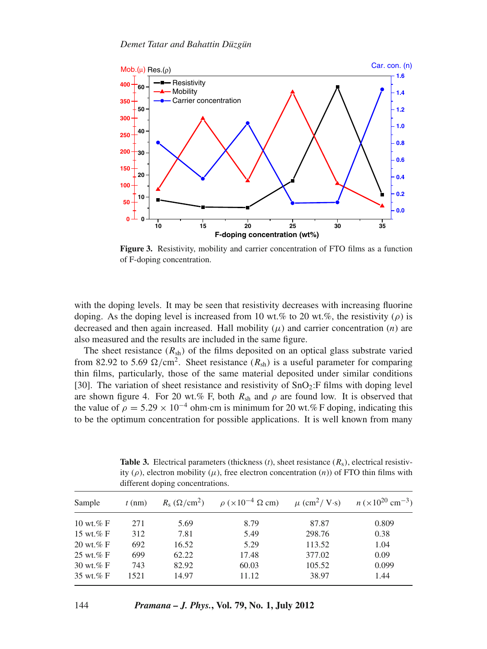

**Figure 3.** Resistivity, mobility and carrier concentration of FTO films as a function of F-doping concentration.

with the doping levels. It may be seen that resistivity decreases with increasing fluorine doping. As the doping level is increased from 10 wt.% to 20 wt.%, the resistivity ( $\rho$ ) is decreased and then again increased. Hall mobility  $(\mu)$  and carrier concentration  $(n)$  are also measured and the results are included in the same figure.

The sheet resistance  $(R_{sh})$  of the films deposited on an optical glass substrate varied from 82.92 to 5.69  $\Omega$ /cm<sup>2</sup>. Sheet resistance ( $R_{sh}$ ) is a useful parameter for comparing thin films, particularly, those of the same material deposited under similar conditions [30]. The variation of sheet resistance and resistivity of  $SnO<sub>2</sub>:F films$  with doping level are shown figure 4. For 20 wt.% F, both  $R_{\rm sh}$  and  $\rho$  are found low. It is observed that the value of  $\rho = 5.29 \times 10^{-4}$  ohm·cm is minimum for 20 wt.% F doping, indicating this to be the optimum concentration for possible applications. It is well known from many

|                       | different doping concentrations. |       |                                                                                                                                                              |        |                                       |
|-----------------------|----------------------------------|-------|--------------------------------------------------------------------------------------------------------------------------------------------------------------|--------|---------------------------------------|
| Sample                | $t$ (nm)                         |       | $R_s \left( \Omega / \text{cm}^2 \right)$ $\rho \left( \times 10^{-4} \Omega \text{ cm} \right)$ $\mu \left( \text{cm}^2 / \text{ V} \cdot \text{s} \right)$ |        | $n \times 10^{20}$ cm <sup>-3</sup> ) |
| 10 wt.% $F$           | 271                              | 5.69  | 8.79                                                                                                                                                         | 87.87  | 0.809                                 |
| 15 wt.% $F$           | 312                              | 7.81  | 5.49                                                                                                                                                         | 298.76 | 0.38                                  |
| $20 \text{ wt.} \%$ F | 692                              | 16.52 | 5.29                                                                                                                                                         | 113.52 | 1.04                                  |
| 25 wt. $%$ F          | 699                              | 62.22 | 17.48                                                                                                                                                        | 377.02 | 0.09                                  |
| 30 wt.% $F$           | 743                              | 82.92 | 60.03                                                                                                                                                        | 105.52 | 0.099                                 |
| 35 wt. $%$ F          | 1521                             | 14.97 | 11.12                                                                                                                                                        | 38.97  | 1.44                                  |

**Table 3.** Electrical parameters (thickness  $(t)$ , sheet resistance  $(R_s)$ , electrical resistivity  $(\rho)$ , electron mobility  $(\mu)$ , free electron concentration  $(n)$ ) of FTO thin films with different doping concentrations.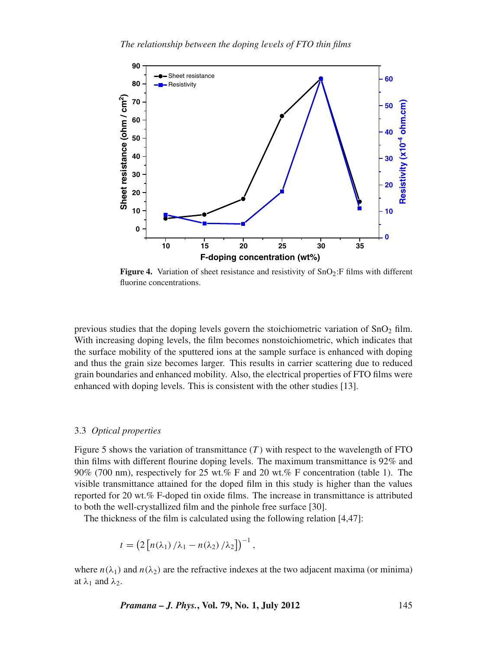

**Figure 4.** Variation of sheet resistance and resistivity of  $SnO<sub>2</sub>:F$  films with different fluorine concentrations.

previous studies that the doping levels govern the stoichiometric variation of  $SnO<sub>2</sub>$  film. With increasing doping levels, the film becomes nonstoichiometric, which indicates that the surface mobility of the sputtered ions at the sample surface is enhanced with doping and thus the grain size becomes larger. This results in carrier scattering due to reduced grain boundaries and enhanced mobility. Also, the electrical properties of FTO films were enhanced with doping levels. This is consistent with the other studies [13].

#### 3.3 *Optical properties*

Figure 5 shows the variation of transmittance  $(T)$  with respect to the wavelength of FTO thin films with different flourine doping levels. The maximum transmittance is 92% and 90% (700 nm), respectively for 25 wt.% F and 20 wt.% F concentration (table 1). The visible transmittance attained for the doped film in this study is higher than the values reported for 20 wt.% F-doped tin oxide films. The increase in transmittance is attributed to both the well-crystallized film and the pinhole free surface [30].

The thickness of the film is calculated using the following relation [4,47]:

$$
t = \left(2\left[n(\lambda_1)/\lambda_1 - n(\lambda_2)/\lambda_2\right]\right)^{-1},
$$

where  $n(\lambda_1)$  and  $n(\lambda_2)$  are the refractive indexes at the two adjacent maxima (or minima) at  $\lambda_1$  and  $\lambda_2$ .

*Pramana – J. Phys.***, Vol. 79, No. 1, July 2012** 145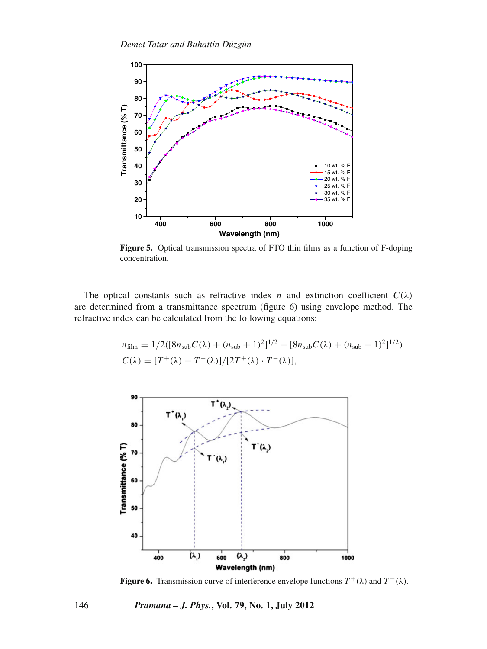

**Figure 5.** Optical transmission spectra of FTO thin films as a function of F-doping concentration.

The optical constants such as refractive index *n* and extinction coefficient  $C(\lambda)$ are determined from a transmittance spectrum (figure 6) using envelope method. The refractive index can be calculated from the following equations:

$$
n_{\text{film}} = 1/2([8n_{\text{sub}}C(\lambda) + (n_{\text{sub}} + 1)^{2}]^{1/2} + [8n_{\text{sub}}C(\lambda) + (n_{\text{sub}} - 1)^{2}]^{1/2})
$$
  

$$
C(\lambda) = [T^{+}(\lambda) - T^{-}(\lambda)]/[2T^{+}(\lambda) \cdot T^{-}(\lambda)],
$$



**Figure 6.** Transmission curve of interference envelope functions  $T^+(\lambda)$  and  $T^-(\lambda)$ .

146 *Pramana – J. Phys.***, Vol. 79, No. 1, July 2012**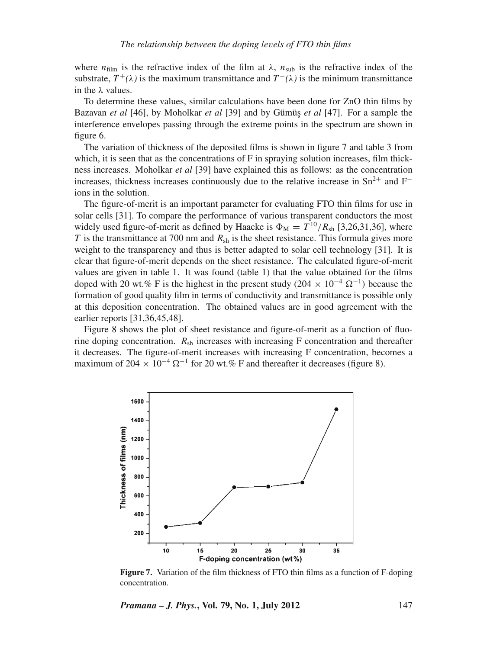where  $n_{\text{film}}$  is the refractive index of the film at  $\lambda$ ,  $n_{\text{sub}}$  is the refractive index of the substrate,  $T^+ (\lambda)$  is the maximum transmittance and  $T^- (\lambda)$  is the minimum transmittance in the λ values.

To determine these values, similar calculations have been done for ZnO thin films by Bazavan *et al* [46], by Moholkar *et al* [39] and by Gümüş *et al* [47]. For a sample the interference envelopes passing through the extreme points in the spectrum are shown in figure 6.

The variation of thickness of the deposited films is shown in figure 7 and table 3 from which, it is seen that as the concentrations of F in spraying solution increases, film thickness increases. Moholkar *et al* [39] have explained this as follows: as the concentration increases, thickness increases continuously due to the relative increase in  $Sn^{2+}$  and  $F^$ ions in the solution.

The figure-of-merit is an important parameter for evaluating FTO thin films for use in solar cells [31]. To compare the performance of various transparent conductors the most widely used figure-of-merit as defined by Haacke is  $\Phi_{\text{M}} = T^{10}/R_{\text{sh}}$  [3,26,31,36], where *T* is the transmittance at 700 nm and  $R_{sh}$  is the sheet resistance. This formula gives more weight to the transparency and thus is better adapted to solar cell technology [31]. It is clear that figure-of-merit depends on the sheet resistance. The calculated figure-of-merit values are given in table 1. It was found (table 1) that the value obtained for the films doped with 20 wt.% F is the highest in the present study (204  $\times$  10<sup>-4</sup>  $\Omega$ <sup>-1</sup>) because the formation of good quality film in terms of conductivity and transmittance is possible only at this deposition concentration. The obtained values are in good agreement with the earlier reports [31,36,45,48].

Figure 8 shows the plot of sheet resistance and figure-of-merit as a function of fluorine doping concentration.  $R_{\rm sh}$  increases with increasing F concentration and thereafter it decreases. The figure-of-merit increases with increasing F concentration, becomes a maximum of 204  $\times$  10<sup>-4</sup>  $\Omega^{-1}$  for 20 wt.% F and thereafter it decreases (figure 8).



**Figure 7.** Variation of the film thickness of FTO thin films as a function of F-doping concentration.

*Pramana – J. Phys.***, Vol. 79, No. 1, July 2012** 147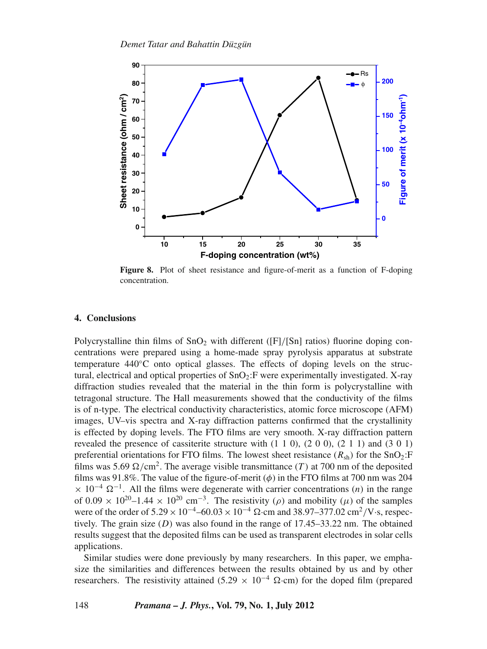

**Figure 8.** Plot of sheet resistance and figure-of-merit as a function of F-doping concentration.

## **4. Conclusions**

Polycrystalline thin films of  $SnO<sub>2</sub>$  with different ([F]/[Sn] ratios) fluorine doping concentrations were prepared using a home-made spray pyrolysis apparatus at substrate temperature 440◦C onto optical glasses. The effects of doping levels on the structural, electrical and optical properties of  $SnO<sub>2</sub>:$  were experimentally investigated. X-ray diffraction studies revealed that the material in the thin form is polycrystalline with tetragonal structure. The Hall measurements showed that the conductivity of the films is of n-type. The electrical conductivity characteristics, atomic force microscope (AFM) images, UV–vis spectra and X-ray diffraction patterns confirmed that the crystallinity is effected by doping levels. The FTO films are very smooth. X-ray diffraction pattern revealed the presence of cassiterite structure with  $(1 1 0)$ ,  $(2 0 0)$ ,  $(2 1 1)$  and  $(3 0 1)$ preferential orientations for FTO films. The lowest sheet resistance  $(R_{sh})$  for the  $SnO_2$ : F films was 5.69  $\Omega$ /cm<sup>2</sup>. The average visible transmittance (*T*) at 700 nm of the deposited films was 91.8%. The value of the figure-of-merit  $(\phi)$  in the FTO films at 700 nm was 204  $\times$  10<sup>-4</sup>  $\Omega$ <sup>-1</sup>. All the films were degenerate with carrier concentrations (*n*) in the range of  $0.09 \times 10^{20}$ –1.44 ×  $10^{20}$  cm<sup>-3</sup>. The resistivity ( $\rho$ ) and mobility ( $\mu$ ) of the samples were of the order of  $5.29 \times 10^{-4}$ –60.03 ×  $10^{-4}$  Ω·cm and 38.97–377.02 cm<sup>2</sup>/V·s, respectively. The grain size (*D*) was also found in the range of 17.45–33.22 nm. The obtained results suggest that the deposited films can be used as transparent electrodes in solar cells applications.

Similar studies were done previously by many researchers. In this paper, we emphasize the similarities and differences between the results obtained by us and by other researchers. The resistivity attained (5.29  $\times$  10<sup>-4</sup>  $\Omega$ ·cm) for the doped film (prepared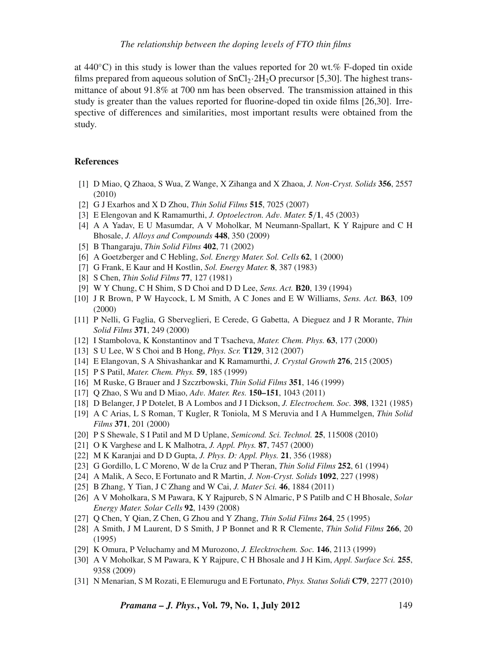at 440 $\degree$ C) in this study is lower than the values reported for 20 wt.% F-doped tin oxide films prepared from aqueous solution of  $SnCl<sub>2</sub>·2H<sub>2</sub>O$  precursor [5,30]. The highest transmittance of about 91.8% at 700 nm has been observed. The transmission attained in this study is greater than the values reported for fluorine-doped tin oxide films [26,30]. Irrespective of differences and similarities, most important results were obtained from the study.

# **References**

- [1] D Miao, Q Zhaoa, S Wua, Z Wange, X Zihanga and X Zhaoa, *J. Non-Cryst. Solids* **356**, 2557 (2010)
- [2] G J Exarhos and X D Zhou, *Thin Solid Films* **515**, 7025 (2007)
- [3] E Elengovan and K Ramamurthi, *J. Optoelectron. Ad*v*. Mater.* **5**/**1**, 45 (2003)
- [4] A A Yadav, E U Masumdar, A V Moholkar, M Neumann-Spallart, K Y Rajpure and C H Bhosale, *J. Alloys and Compounds* **448**, 350 (2009)
- [5] B Thangaraju, *Thin Solid Films* **402**, 71 (2002)
- [6] A Goetzberger and C Hebling, *Sol. Energy Mater. Sol. Cells* **62**, 1 (2000)
- [7] G Frank, E Kaur and H Kostlin, *Sol. Energy Mater.* **8**, 387 (1983)
- [8] S Chen, *Thin Solid Films* **77**, 127 (1981)
- [9] W Y Chung, C H Shim, S D Choi and D D Lee, *Sens. Act.* **B20**, 139 (1994)
- [10] J R Brown, P W Haycock, L M Smith, A C Jones and E W Williams, *Sens. Act.* **B63**, 109 (2000)
- [11] P Nelli, G Faglia, G Sberveglieri, E Cerede, G Gabetta, A Dieguez and J R Morante, *Thin Solid Films* **371**, 249 (2000)
- [12] I Stambolova, K Konstantinov and T Tsacheva, *Mater. Chem. Phys.* **63**, 177 (2000)
- [13] S U Lee, W S Choi and B Hong, *Phys. Scr.* **T129**, 312 (2007)
- [14] E Elangovan, S A Shivashankar and K Ramamurthi, *J. Crystal Growth* **276**, 215 (2005)
- [15] P S Patil, *Mater. Chem. Phys.* **59**, 185 (1999)
- [16] M Ruske, G Brauer and J Szczrbowski, *Thin Solid Films* **351**, 146 (1999)
- [17] Q Zhao, S Wu and D Miao, *Ad*v*. Mater. Res.* **150–151**, 1043 (2011)
- [18] D Belanger, J P Dotelet, B A Lombos and J I Dickson, *J. Electrochem. Soc.* **398**, 1321 (1985)
- [19] A C Arias, L S Roman, T Kugler, R Toniola, M S Meruvia and I A Hummelgen, *Thin Solid Films* **371**, 201 (2000)
- [20] P S Shewale, S I Patil and M D Uplane, *Semicond. Sci. Technol.* **25**, 115008 (2010)
- [21] O K Varghese and L K Malhotra, *J. Appl. Phys.* **87**, 7457 (2000)
- [22] M K Karanjai and D D Gupta, *J. Phys. D: Appl. Phys.* **21**, 356 (1988)
- [23] G Gordillo, L C Moreno, W de la Cruz and P Theran, *Thin Solid Films* **252**, 61 (1994)
- [24] A Malik, A Seco, E Fortunato and R Martin, *J. Non-Cryst. Solids* **1092**, 227 (1998)
- [25] B Zhang, Y Tian, J C Zhang and W Cai, *J. Mater Sci.* **46**, 1884 (2011)
- [26] A V Moholkara, S M Pawara, K Y Rajpureb, S N Almaric, P S Patilb and C H Bhosale, *Solar Energy Mater. Solar Cells* **92**, 1439 (2008)
- [27] Q Chen, Y Qian, Z Chen, G Zhou and Y Zhang, *Thin Solid Films* **264**, 25 (1995)
- [28] A Smith, J M Laurent, D S Smith, J P Bonnet and R R Clemente, *Thin Solid Films* **266**, 20 (1995)
- [29] K Omura, P Veluchamy and M Murozono, *J. Elecktrochem. Soc.* **146**, 2113 (1999)
- [30] A V Moholkar, S M Pawara, K Y Rajpure, C H Bhosale and J H Kim, *Appl. Surface Sci.* **255**, 9358 (2009)
- [31] N Menarian, S M Rozati, E Elemurugu and E Fortunato, *Phys. Status Solidi* **C79**, 2277 (2010)